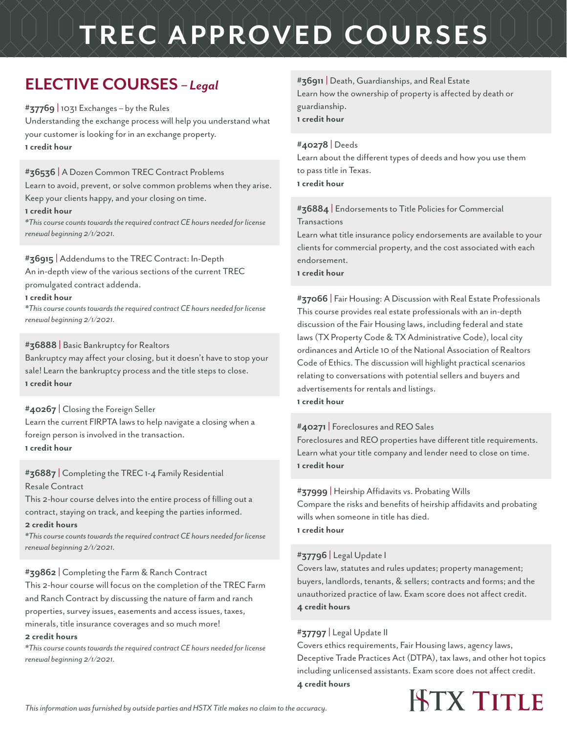### **ELECTIVE COURSES** *– Legal*

**#37769** | 1031 Exchanges – by the Rules Understanding the exchange process will help you understand what your customer is looking for in an exchange property. **1 credit hour**

#### **#36536** | A Dozen Common TREC Contract Problems

Learn to avoid, prevent, or solve common problems when they arise.

Keep your clients happy, and your closing on time.

#### **1 credit hour**

*\*This course counts towards the required contract CE hours needed for license renewal beginning 2/1/2021.*

#### **#36915** | Addendums to the TREC Contract: In-Depth

An in-depth view of the various sections of the current TREC promulgated contract addenda.

#### **1 credit hour**

*\*This course counts towards the required contract CE hours needed for license renewal beginning 2/1/2021.*

#### **#36888** | Basic Bankruptcy for Realtors

Bankruptcy may affect your closing, but it doesn't have to stop your sale! Learn the bankruptcy process and the title steps to close. **1 credit hour** 

#### **#40267** | Closing the Foreign Seller

Learn the current FIRPTA laws to help navigate a closing when a foreign person is involved in the transaction. **1 credit hour**

#### **#36887** | Completing the TREC 1-4 Family Residential Resale Contract

This 2-hour course delves into the entire process of filling out a contract, staying on track, and keeping the parties informed.

#### **2 credit hours**

*\*This course counts towards the required contract CE hours needed for license renewal beginning 2/1/2021.*

#### **#39862** | Completing the Farm & Ranch Contract

This 2-hour course will focus on the completion of the TREC Farm and Ranch Contract by discussing the nature of farm and ranch properties, survey issues, easements and access issues, taxes, minerals, title insurance coverages and so much more!

#### **2 credit hours**

*\*This course counts towards the required contract CE hours needed for license renewal beginning 2/1/2021.*

#### **#36911** | Death, Guardianships, and Real Estate

Learn how the ownership of property is affected by death or guardianship. **1 credit hour**

#### **#40278** | Deeds

Learn about the different types of deeds and how you use them to pass title in Texas. **1 credit hour**

#### **#36884** | Endorsements to Title Policies for Commercial

Transactions

Learn what title insurance policy endorsements are available to your clients for commercial property, and the cost associated with each endorsement.

**1 credit hour**

**#37066** | Fair Housing: A Discussion with Real Estate Professionals This course provides real estate professionals with an in-depth discussion of the Fair Housing laws, including federal and state laws (TX Property Code & TX Administrative Code), local city ordinances and Article 10 of the National Association of Realtors Code of Ethics. The discussion will highlight practical scenarios relating to conversations with potential sellers and buyers and advertisements for rentals and listings.

#### **1 credit hour**

#### **#40271** | Foreclosures and REO Sales

Foreclosures and REO properties have different title requirements. Learn what your title company and lender need to close on time. **1 credit hour**

#### **#37999** | Heirship Affidavits vs. Probating Wills

Compare the risks and benefits of heirship affidavits and probating wills when someone in title has died. **1 credit hour**

#### **#37796** | Legal Update I

Covers law, statutes and rules updates; property management; buyers, landlords, tenants, & sellers; contracts and forms; and the unauthorized practice of law. Exam score does not affect credit. **4 credit hours**

#### **#37797** | Legal Update II

Covers ethics requirements, Fair Housing laws, agency laws, Deceptive Trade Practices Act (DTPA), tax laws, and other hot topics including unlicensed assistants. Exam score does not affect credit. **4 credit hours** 

**ISTX TITLE**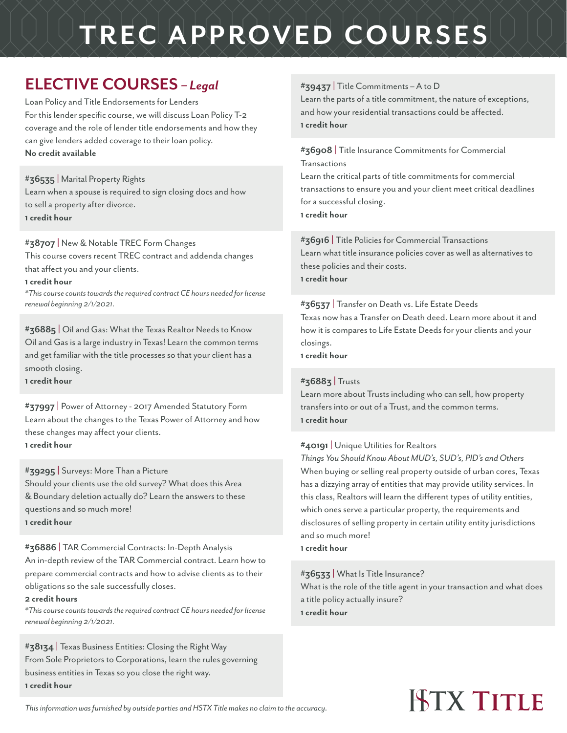### **ELECTIVE COURSES** *– Legal*

Loan Policy and Title Endorsements for Lenders For this lender specific course, we will discuss Loan Policy T-2 coverage and the role of lender title endorsements and how they can give lenders added coverage to their loan policy. **No credit available**

#### **#36535** | Marital Property Rights

Learn when a spouse is required to sign closing docs and how to sell a property after divorce. **1 credit hour**

#### **#38707** | New & Notable TREC Form Changes

This course covers recent TREC contract and addenda changes that affect you and your clients.

#### **1 credit hour**

*\*This course counts towards the required contract CE hours needed for license renewal beginning 2/1/2021.*

**#36885** | Oil and Gas: What the Texas Realtor Needs to Know Oil and Gas is a large industry in Texas! Learn the common terms and get familiar with the title processes so that your client has a smooth closing.

**1 credit hour**

**#37997** | Power of Attorney - 2017 Amended Statutory Form Learn about the changes to the Texas Power of Attorney and how these changes may affect your clients. **1 credit hour**

#### **#39295** | Surveys: More Than a Picture

Should your clients use the old survey? What does this Area & Boundary deletion actually do? Learn the answers to these questions and so much more! **1 credit hour**

#### **#36886** | TAR Commercial Contracts: In-Depth Analysis

An in-depth review of the TAR Commercial contract. Learn how to prepare commercial contracts and how to advise clients as to their obligations so the sale successfully closes.

#### **2 credit hours**

*\*This course counts towards the required contract CE hours needed for license renewal beginning 2/1/2021.*

#### **#38134** | Texas Business Entities: Closing the Right Way From Sole Proprietors to Corporations, learn the rules governing business entities in Texas so you close the right way. **1 credit hour**

#### **#39437** | Title Commitments – A to D

Learn the parts of a title commitment, the nature of exceptions, and how your residential transactions could be affected. **1 credit hour**

#### **#36908** | Title Insurance Commitments for Commercial Transactions

Learn the critical parts of title commitments for commercial transactions to ensure you and your client meet critical deadlines for a successful closing. **1 credit hour**

**#36916** | Title Policies for Commercial Transactions Learn what title insurance policies cover as well as alternatives to these policies and their costs.

**1 credit hour**

#### **#36537** | Transfer on Death vs. Life Estate Deeds

Texas now has a Transfer on Death deed. Learn more about it and how it is compares to Life Estate Deeds for your clients and your closings.

**1 credit hour**

#### **#36883** | Trusts

Learn more about Trusts including who can sell, how property transfers into or out of a Trust, and the common terms. **1 credit hour**

#### **#40191** | Unique Utilities for Realtors

*Things You Should Know About MUD's, SUD's, PID's and Others* When buying or selling real property outside of urban cores, Texas has a dizzying array of entities that may provide utility services. In this class, Realtors will learn the different types of utility entities, which ones serve a particular property, the requirements and disclosures of selling property in certain utility entity jurisdictions and so much more!

**1 credit hour**

#### **#36533** | What Is Title Insurance?

What is the role of the title agent in your transaction and what does a title policy actually insure? **1 credit hour**

# **HTX TITLE**

*This information was furnished by outside parties and HSTX Title makes no claim to the accuracy.*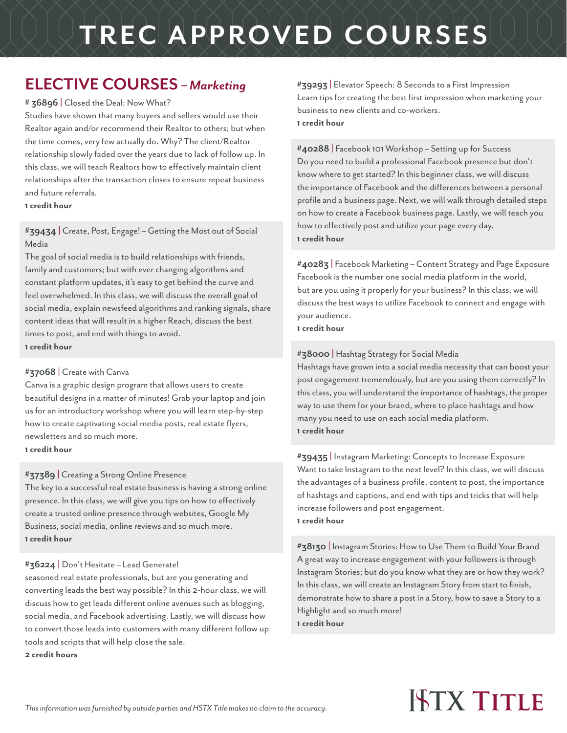### **ELECTIVE COURSES** *– Marketing*

#### **# 36896** | Closed the Deal: Now What?

Studies have shown that many buyers and sellers would use their Realtor again and/or recommend their Realtor to others; but when the time comes, very few actually do. Why? The client/Realtor relationship slowly faded over the years due to lack of follow up. In this class, we will teach Realtors how to effectively maintain client relationships after the transaction closes to ensure repeat business and future referrals.

**1 credit hour**

**#39434** | Create, Post, Engage! – Getting the Most out of Social Media

The goal of social media is to build relationships with friends, family and customers; but with ever changing algorithms and constant platform updates, it's easy to get behind the curve and feel overwhelmed. In this class, we will discuss the overall goal of social media, explain newsfeed algorithms and ranking signals, share content ideas that will result in a higher Reach, discuss the best times to post, and end with things to avoid. **1 credit hour**

#### **#37068** | Create with Canva

Canva is a graphic design program that allows users to create beautiful designs in a matter of minutes! Grab your laptop and join us for an introductory workshop where you will learn step-by-step how to create captivating social media posts, real estate flyers, newsletters and so much more.

**1 credit hour**

#### **#37389** | Creating a Strong Online Presence

The key to a successful real estate business is having a strong online presence. In this class, we will give you tips on how to effectively create a trusted online presence through websites, Google My Business, social media, online reviews and so much more. **1 credit hour**

#### **#36224** | Don't Hesitate – Lead Generate!

seasoned real estate professionals, but are you generating and converting leads the best way possible? In this 2-hour class, we will discuss how to get leads different online avenues such as blogging, social media, and Facebook advertising. Lastly, we will discuss how to convert those leads into customers with many different follow up tools and scripts that will help close the sale. **2 credit hours**

**#39293** | Elevator Speech: 8 Seconds to a First Impression Learn tips for creating the best first impression when marketing your business to new clients and co-workers. **1 credit hour**

**#40288** | Facebook 101 Workshop – Setting up for Success Do you need to build a professional Facebook presence but don't know where to get started? In this beginner class, we will discuss the importance of Facebook and the differences between a personal profile and a business page. Next, we will walk through detailed steps on how to create a Facebook business page. Lastly, we will teach you how to effectively post and utilize your page every day. **1 credit hour**

**#40283** | Facebook Marketing – Content Strategy and Page Exposure Facebook is the number one social media platform in the world, but are you using it properly for your business? In this class, we will discuss the best ways to utilize Facebook to connect and engage with your audience. **1 credit hour**

#### **#38000** | Hashtag Strategy for Social Media

Hashtags have grown into a social media necessity that can boost your post engagement tremendously, but are you using them correctly? In this class, you will understand the importance of hashtags, the proper way to use them for your brand, where to place hashtags and how many you need to use on each social media platform. **1 credit hour**

**#39435** | Instagram Marketing: Concepts to Increase Exposure Want to take Instagram to the next level? In this class, we will discuss the advantages of a business profile, content to post, the importance of hashtags and captions, and end with tips and tricks that will help increase followers and post engagement. **1 credit hour** 

**#38130** | Instagram Stories: How to Use Them to Build Your Brand A great way to increase engagement with your followers is through Instagram Stories; but do you know what they are or how they work? In this class, we will create an Instagram Story from start to finish, demonstrate how to share a post in a Story, how to save a Story to a Highlight and so much more! **1 credit hour** 

## **ISTX TITLE**